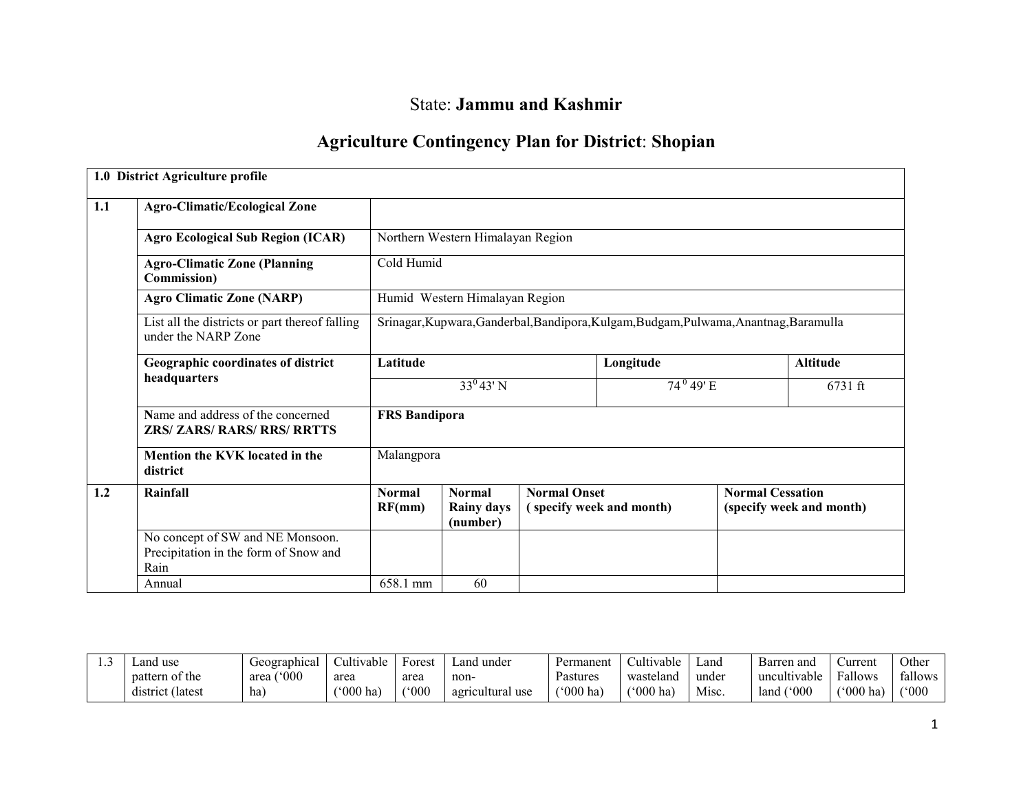# State: Jammu and Kashmir

## Agriculture Contingency Plan for District: Shopian

|     | 1.0 District Agriculture profile                                                  |                         |                                                |                     |                                                                                       |                                                     |                 |  |
|-----|-----------------------------------------------------------------------------------|-------------------------|------------------------------------------------|---------------------|---------------------------------------------------------------------------------------|-----------------------------------------------------|-----------------|--|
| 1.1 | <b>Agro-Climatic/Ecological Zone</b>                                              |                         |                                                |                     |                                                                                       |                                                     |                 |  |
|     | <b>Agro Ecological Sub Region (ICAR)</b>                                          |                         | Northern Western Himalayan Region              |                     |                                                                                       |                                                     |                 |  |
|     | <b>Agro-Climatic Zone (Planning</b><br><b>Commission</b> )                        | Cold Humid              |                                                |                     |                                                                                       |                                                     |                 |  |
|     | <b>Agro Climatic Zone (NARP)</b>                                                  |                         | Humid Western Himalayan Region                 |                     |                                                                                       |                                                     |                 |  |
|     | List all the districts or part thereof falling<br>under the NARP Zone             |                         |                                                |                     | Srinagar, Kupwara, Ganderbal, Bandipora, Kulgam, Budgam, Pulwama, Anantnag, Baramulla |                                                     |                 |  |
|     | Geographic coordinates of district                                                | Latitude                |                                                |                     | Longitude                                                                             |                                                     | <b>Altitude</b> |  |
|     | headquarters                                                                      |                         | $33^{0}43'$ N                                  |                     | $74^{\,0}49'E$                                                                        | $6731$ ft                                           |                 |  |
|     | Name and address of the concerned<br><b>ZRS/ ZARS/ RARS/ RRS/ RRTTS</b>           | <b>FRS Bandipora</b>    |                                                |                     |                                                                                       |                                                     |                 |  |
|     | Mention the KVK located in the<br>district                                        | Malangpora              |                                                |                     |                                                                                       |                                                     |                 |  |
| 1.2 | Rainfall                                                                          | <b>Normal</b><br>RF(mm) | <b>Normal</b><br><b>Rainy days</b><br>(number) | <b>Normal Onset</b> | (specify week and month)                                                              | <b>Normal Cessation</b><br>(specify week and month) |                 |  |
|     | No concept of SW and NE Monsoon.<br>Precipitation in the form of Snow and<br>Rain |                         |                                                |                     |                                                                                       |                                                     |                 |  |
|     | Annual                                                                            | 658.1 mm                | 60                                             |                     |                                                                                       |                                                     |                 |  |

| and use∟         | Geographica.          | Cultivable               | Forest              | ∟and<br>. under  | Permanent         | $\sim$ 1.1<br><b>Cultivable</b> | Land  | Barren and            | Current                  | Other   |
|------------------|-----------------------|--------------------------|---------------------|------------------|-------------------|---------------------------------|-------|-----------------------|--------------------------|---------|
| pattern of the   | $^{\circ}000$<br>area | area                     | area                | non-             | Pastures          | wasteland                       | under | uncultivable          | Fallows                  | fallows |
| district (latest | ha                    | $^{\prime\prime}000$ ha) | $(^\circ000^\circ)$ | agricultural use | $^{\circ}000$ ha) | $^{\circ}000$ ha)               | Misc. | $^{\circ}000$<br>land | $^{\prime\prime}000$ ha) | (°000)  |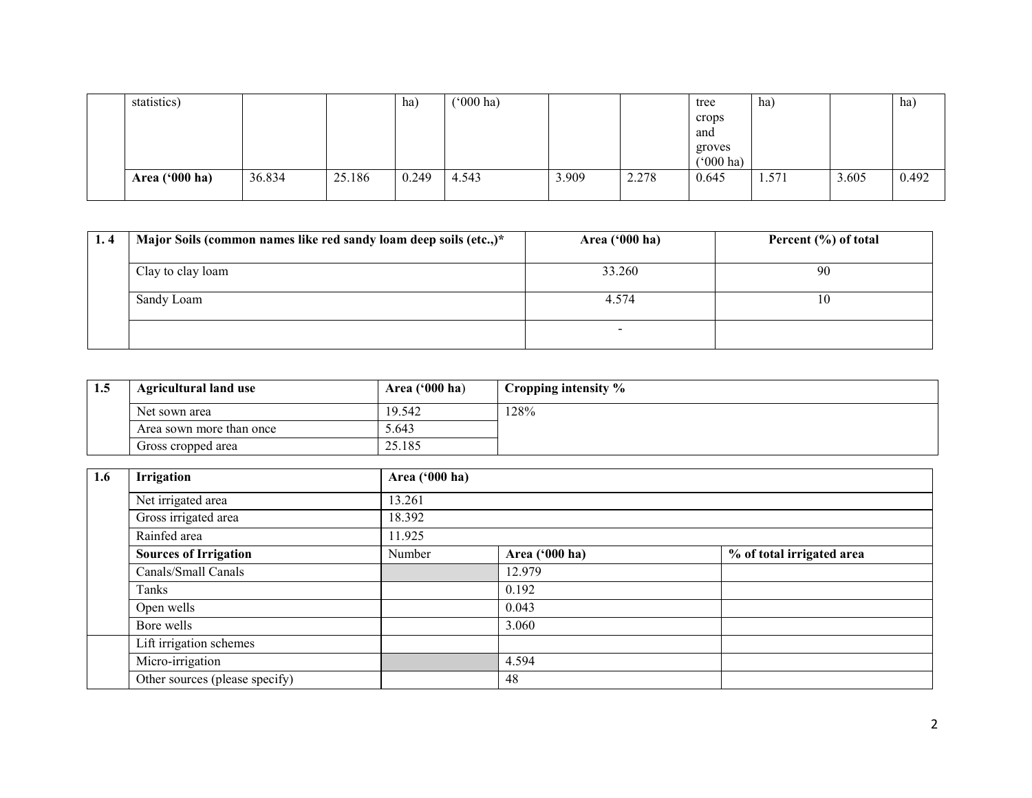| statistics)      |        |        | ha)   | $(000 \text{ ha})$ |       |       | tree               | ha)   |       | ha)   |
|------------------|--------|--------|-------|--------------------|-------|-------|--------------------|-------|-------|-------|
|                  |        |        |       |                    |       |       | crops              |       |       |       |
|                  |        |        |       |                    |       |       | and                |       |       |       |
|                  |        |        |       |                    |       |       | groves             |       |       |       |
|                  |        |        |       |                    |       |       | $(000 \text{ ha})$ |       |       |       |
| Area $('000 ha)$ | 36.834 | 25.186 | 0.249 | 4.543              | 3.909 | 2.278 | 0.645              | 1.571 | 3.605 | 0.492 |
|                  |        |        |       |                    |       |       |                    |       |       |       |

| 1.4 | Major Soils (common names like red sandy loam deep soils (etc.,)* | Area $('000 ha)$ | Percent $(\% )$ of total |  |  |
|-----|-------------------------------------------------------------------|------------------|--------------------------|--|--|
|     | Clay to clay loam                                                 | 33.260           | 90                       |  |  |
|     | Sandy Loam                                                        | 4.574            | ιU                       |  |  |
|     |                                                                   |                  |                          |  |  |

| 1.5 | <b>Agricultural land use</b> | Area $(900 \text{ ha})$ | Cropping intensity % |
|-----|------------------------------|-------------------------|----------------------|
|     | Net sown area                | 19.542                  | 128%                 |
|     | Area sown more than once     | 5.643                   |                      |
|     | Gross cropped area           | 25.185                  |                      |

| 1.6 | Irrigation                     | Area ('000 ha) |                |                           |
|-----|--------------------------------|----------------|----------------|---------------------------|
|     | Net irrigated area             | 13.261         |                |                           |
|     | Gross irrigated area           | 18.392         |                |                           |
|     | Rainfed area                   | 11.925         |                |                           |
|     | <b>Sources of Irrigation</b>   | Number         | Area ('000 ha) | % of total irrigated area |
|     | Canals/Small Canals            |                | 12.979         |                           |
|     | Tanks                          |                | 0.192          |                           |
|     | Open wells                     |                | 0.043          |                           |
|     | Bore wells                     |                | 3.060          |                           |
|     | Lift irrigation schemes        |                |                |                           |
|     | Micro-irrigation               |                | 4.594          |                           |
|     | Other sources (please specify) |                | 48             |                           |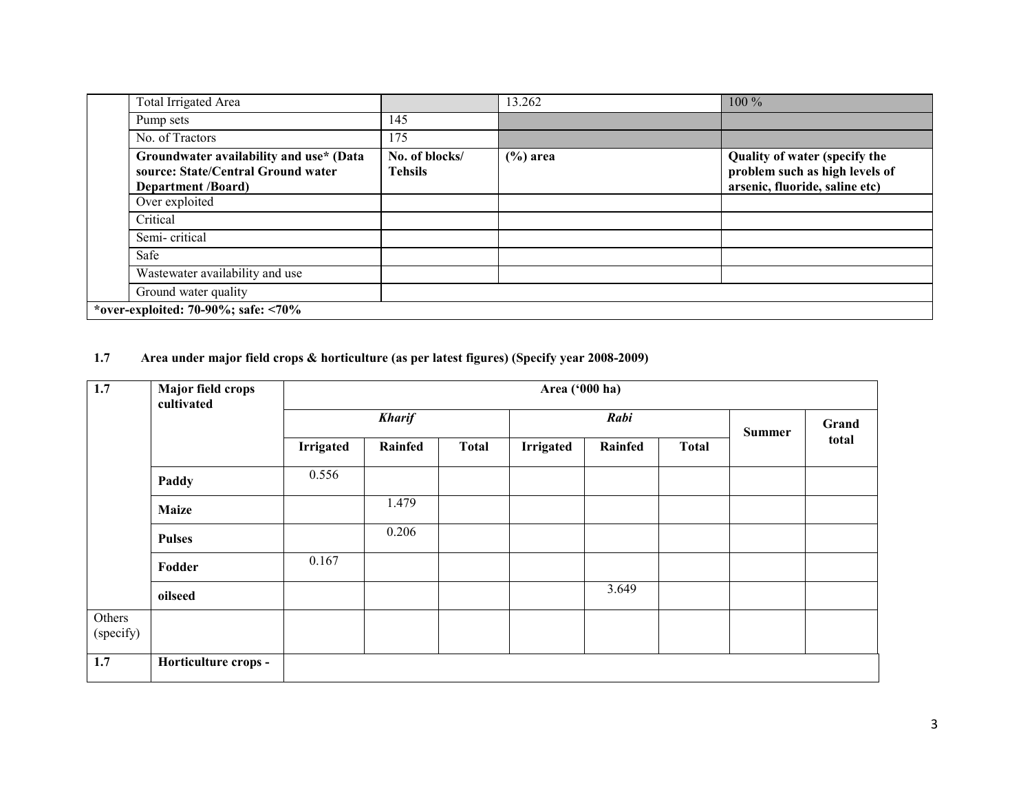| <b>Total Irrigated Area</b>                                                                                |                                  | 13.262      | 100 %                                                                                             |  |  |  |  |
|------------------------------------------------------------------------------------------------------------|----------------------------------|-------------|---------------------------------------------------------------------------------------------------|--|--|--|--|
| Pump sets                                                                                                  | 145                              |             |                                                                                                   |  |  |  |  |
| No. of Tractors                                                                                            | 175                              |             |                                                                                                   |  |  |  |  |
| Groundwater availability and use* (Data<br>source: State/Central Ground water<br><b>Department /Board)</b> | No. of blocks/<br><b>Tehsils</b> | $(\%)$ area | Quality of water (specify the<br>problem such as high levels of<br>arsenic, fluoride, saline etc) |  |  |  |  |
| Over exploited                                                                                             |                                  |             |                                                                                                   |  |  |  |  |
| Critical                                                                                                   |                                  |             |                                                                                                   |  |  |  |  |
| Semi-critical                                                                                              |                                  |             |                                                                                                   |  |  |  |  |
| Safe                                                                                                       |                                  |             |                                                                                                   |  |  |  |  |
| Wastewater availability and use                                                                            |                                  |             |                                                                                                   |  |  |  |  |
| Ground water quality                                                                                       |                                  |             |                                                                                                   |  |  |  |  |
| *over-exploited: 70-90%; safe: $\langle 70\%$                                                              |                                  |             |                                                                                                   |  |  |  |  |

#### 1.7 Area under major field crops & horticulture (as per latest figures) (Specify year 2008-2009)

| 1.7                 | Major field crops<br>cultivated |                  | Area ('000 ha) |              |                  |         |               |       |       |  |  |  |
|---------------------|---------------------------------|------------------|----------------|--------------|------------------|---------|---------------|-------|-------|--|--|--|
|                     |                                 | <b>Kharif</b>    |                |              |                  | Rabi    | <b>Summer</b> | Grand |       |  |  |  |
|                     |                                 | <b>Irrigated</b> | Rainfed        | <b>Total</b> | <b>Irrigated</b> | Rainfed | <b>Total</b>  |       | total |  |  |  |
|                     | Paddy                           | 0.556            |                |              |                  |         |               |       |       |  |  |  |
|                     | <b>Maize</b>                    |                  | 1.479          |              |                  |         |               |       |       |  |  |  |
|                     | <b>Pulses</b>                   |                  | 0.206          |              |                  |         |               |       |       |  |  |  |
|                     | Fodder                          | 0.167            |                |              |                  |         |               |       |       |  |  |  |
|                     | oilseed                         |                  |                |              |                  | 3.649   |               |       |       |  |  |  |
| Others<br>(specify) |                                 |                  |                |              |                  |         |               |       |       |  |  |  |
| 1.7                 | Horticulture crops -            |                  |                |              |                  |         |               |       |       |  |  |  |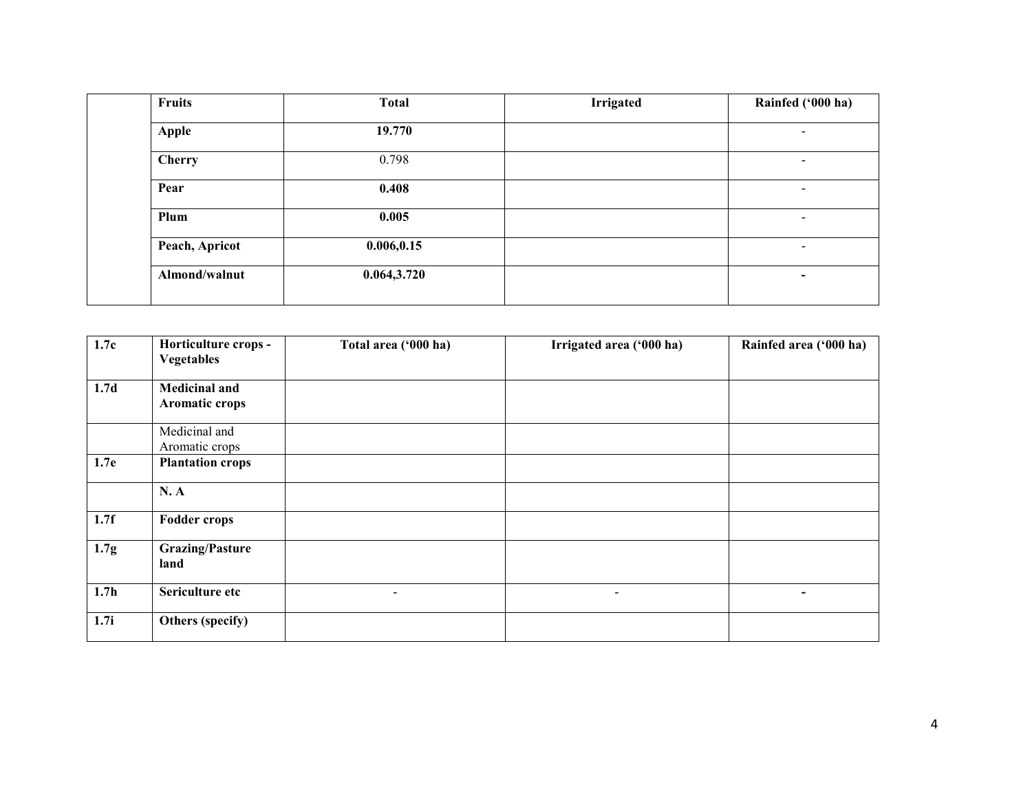| Fruits         | <b>Total</b> | <b>Irrigated</b> | Rainfed ('000 ha)        |
|----------------|--------------|------------------|--------------------------|
| <b>Apple</b>   | 19.770       |                  | $\overline{\phantom{a}}$ |
| <b>Cherry</b>  | 0.798        |                  | $\blacksquare$           |
| Pear           | 0.408        |                  | $\overline{\phantom{a}}$ |
| Plum           | 0.005        |                  | $\overline{\phantom{a}}$ |
| Peach, Apricot | 0.006, 0.15  |                  | $\blacksquare$           |
| Almond/walnut  | 0.064,3.720  |                  | $\,$ $\,$                |

| 1.7c             | Horticulture crops -<br><b>Vegetables</b> | Total area ('000 ha) | Irrigated area ('000 ha) | Rainfed area ('000 ha) |
|------------------|-------------------------------------------|----------------------|--------------------------|------------------------|
|                  |                                           |                      |                          |                        |
| 1.7 <sub>d</sub> | <b>Medicinal and</b>                      |                      |                          |                        |
|                  | Aromatic crops                            |                      |                          |                        |
|                  | Medicinal and                             |                      |                          |                        |
|                  | Aromatic crops                            |                      |                          |                        |
| 1.7e             | <b>Plantation crops</b>                   |                      |                          |                        |
|                  | N.A                                       |                      |                          |                        |
| 1.7f             | <b>Fodder crops</b>                       |                      |                          |                        |
| 1.7 <sub>g</sub> | <b>Grazing/Pasture</b><br>land            |                      |                          |                        |
| 1.7 <sub>h</sub> | Sericulture etc                           | $\blacksquare$       | $\sim$                   | $\blacksquare$         |
| 1.7i             | Others (specify)                          |                      |                          |                        |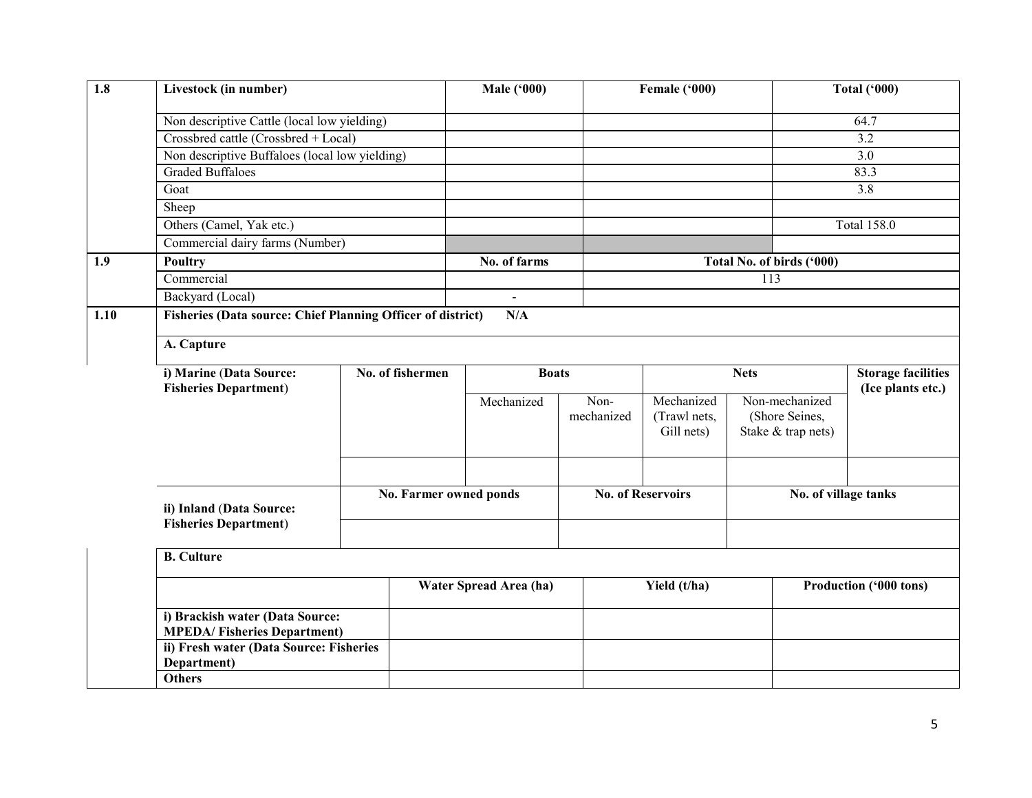| 1.8  | Livestock (in number)                                                 |                  |     | <b>Male ('000)</b>     |                    | Female ('000)                            |  |                                                        | <b>Total ('000)</b>                            |  |  |
|------|-----------------------------------------------------------------------|------------------|-----|------------------------|--------------------|------------------------------------------|--|--------------------------------------------------------|------------------------------------------------|--|--|
|      | Non descriptive Cattle (local low yielding)                           |                  |     |                        |                    |                                          |  |                                                        | 64.7                                           |  |  |
|      | Crossbred cattle (Crossbred + Local)                                  |                  |     |                        |                    |                                          |  |                                                        | 3.2                                            |  |  |
|      | Non descriptive Buffaloes (local low yielding)                        |                  |     |                        |                    |                                          |  |                                                        | $\overline{3.0}$                               |  |  |
|      | <b>Graded Buffaloes</b>                                               |                  |     |                        |                    |                                          |  |                                                        | 83.3                                           |  |  |
|      | Goat                                                                  |                  |     |                        |                    |                                          |  |                                                        | 3.8                                            |  |  |
|      | Sheep                                                                 |                  |     |                        |                    |                                          |  |                                                        |                                                |  |  |
|      | Others (Camel, Yak etc.)                                              |                  |     |                        |                    |                                          |  |                                                        | <b>Total 158.0</b>                             |  |  |
|      | Commercial dairy farms (Number)                                       |                  |     |                        |                    |                                          |  |                                                        |                                                |  |  |
| 1.9  | <b>Poultry</b>                                                        |                  |     | No. of farms           |                    |                                          |  | Total No. of birds ('000)                              |                                                |  |  |
|      | Commercial                                                            |                  |     |                        |                    |                                          |  | 113                                                    |                                                |  |  |
|      |                                                                       | Backyard (Local) |     | $\blacksquare$         |                    |                                          |  |                                                        |                                                |  |  |
| 1.10 | <b>Fisheries (Data source: Chief Planning Officer of district)</b>    |                  | N/A |                        |                    |                                          |  |                                                        |                                                |  |  |
|      |                                                                       |                  |     |                        |                    |                                          |  |                                                        |                                                |  |  |
|      | A. Capture                                                            |                  |     |                        |                    |                                          |  |                                                        |                                                |  |  |
|      | i) Marine (Data Source:<br>No. of fishermen                           |                  |     | <b>Boats</b>           |                    | <b>Nets</b>                              |  |                                                        | <b>Storage facilities</b><br>(Ice plants etc.) |  |  |
|      | <b>Fisheries Department)</b>                                          |                  |     | Mechanized             | Non-<br>mechanized | Mechanized<br>(Trawl nets,<br>Gill nets) |  | Non-mechanized<br>(Shore Seines,<br>Stake & trap nets) |                                                |  |  |
|      | ii) Inland (Data Source:                                              |                  |     | No. Farmer owned ponds |                    | <b>No. of Reservoirs</b>                 |  | No. of village tanks                                   |                                                |  |  |
|      | <b>Fisheries Department)</b>                                          |                  |     |                        |                    |                                          |  |                                                        |                                                |  |  |
|      | <b>B.</b> Culture                                                     |                  |     |                        |                    |                                          |  |                                                        |                                                |  |  |
|      |                                                                       |                  |     | Water Spread Area (ha) |                    | Yield (t/ha)                             |  |                                                        |                                                |  |  |
|      |                                                                       |                  |     |                        |                    |                                          |  | Production ('000 tons)                                 |                                                |  |  |
|      | i) Brackish water (Data Source:<br><b>MPEDA/Fisheries Department)</b> |                  |     |                        |                    |                                          |  |                                                        |                                                |  |  |
|      | ii) Fresh water (Data Source: Fisheries<br>Department)                |                  |     |                        |                    |                                          |  |                                                        |                                                |  |  |
|      | <b>Others</b>                                                         |                  |     |                        |                    |                                          |  |                                                        |                                                |  |  |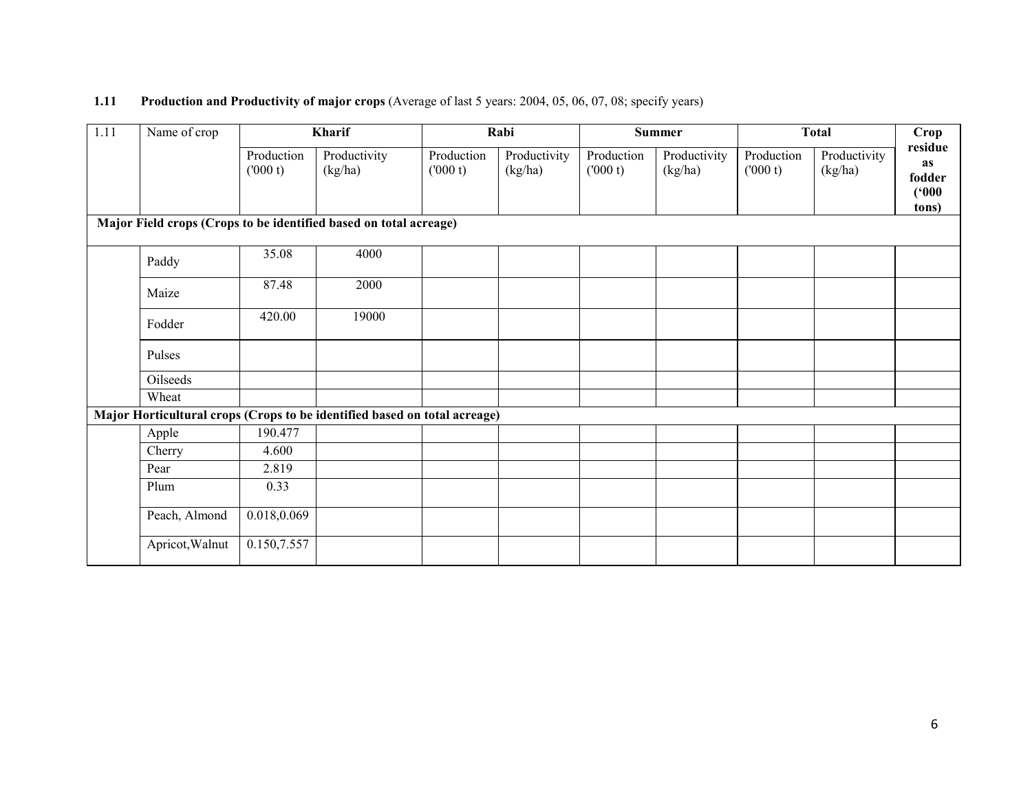#### **1.11** Production and Productivity of major crops (Average of last 5 years: 2004, 05, 06, 07, 08; specify years)

| 1.11                                                              | Name of crop    |                       | Kharif                                                                    |                       | Rabi                    |                       | <b>Summer</b>           |                       | <b>Total</b>            | <b>Crop</b>                                      |  |
|-------------------------------------------------------------------|-----------------|-----------------------|---------------------------------------------------------------------------|-----------------------|-------------------------|-----------------------|-------------------------|-----------------------|-------------------------|--------------------------------------------------|--|
|                                                                   |                 | Production<br>(000 t) | Productivity<br>(kg/ha)                                                   | Production<br>(000 t) | Productivity<br>(kg/ha) | Production<br>(000 t) | Productivity<br>(kg/ha) | Production<br>(000 t) | Productivity<br>(kg/ha) | residue<br><b>as</b><br>fodder<br>(000)<br>tons) |  |
| Major Field crops (Crops to be identified based on total acreage) |                 |                       |                                                                           |                       |                         |                       |                         |                       |                         |                                                  |  |
|                                                                   | Paddy           | 35.08                 | 4000                                                                      |                       |                         |                       |                         |                       |                         |                                                  |  |
|                                                                   | Maize           | 87.48                 | 2000                                                                      |                       |                         |                       |                         |                       |                         |                                                  |  |
|                                                                   | Fodder          | 420.00                | 19000                                                                     |                       |                         |                       |                         |                       |                         |                                                  |  |
|                                                                   | Pulses          |                       |                                                                           |                       |                         |                       |                         |                       |                         |                                                  |  |
|                                                                   | Oilseeds        |                       |                                                                           |                       |                         |                       |                         |                       |                         |                                                  |  |
|                                                                   | Wheat           |                       |                                                                           |                       |                         |                       |                         |                       |                         |                                                  |  |
|                                                                   |                 |                       | Major Horticultural crops (Crops to be identified based on total acreage) |                       |                         |                       |                         |                       |                         |                                                  |  |
|                                                                   | Apple           | 190.477               |                                                                           |                       |                         |                       |                         |                       |                         |                                                  |  |
|                                                                   | Cherry          | 4.600                 |                                                                           |                       |                         |                       |                         |                       |                         |                                                  |  |
|                                                                   | Pear            | 2.819                 |                                                                           |                       |                         |                       |                         |                       |                         |                                                  |  |
|                                                                   | Plum            | 0.33                  |                                                                           |                       |                         |                       |                         |                       |                         |                                                  |  |
|                                                                   | Peach, Almond   | 0.018,0.069           |                                                                           |                       |                         |                       |                         |                       |                         |                                                  |  |
|                                                                   | Apricot, Walnut | 0.150,7.557           |                                                                           |                       |                         |                       |                         |                       |                         |                                                  |  |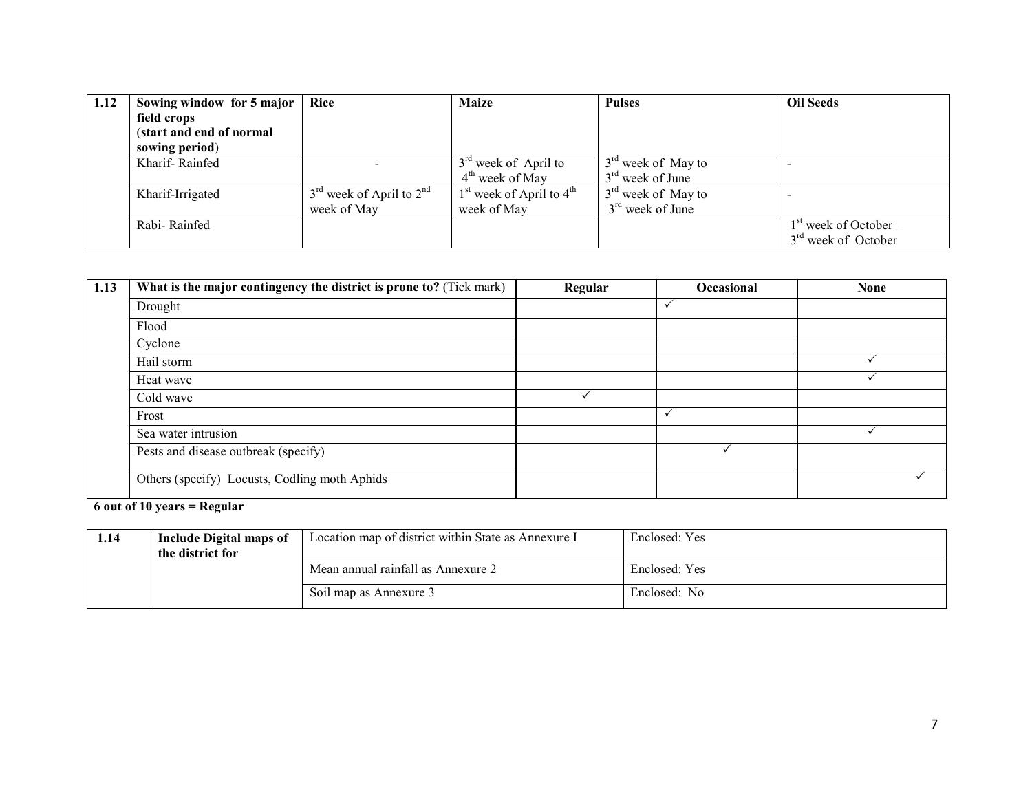| 1.12 | Sowing window for 5 major | <b>Rice</b>                  | <b>Maize</b>                 | <b>Pulses</b>        | <b>Oil Seeds</b>                |
|------|---------------------------|------------------------------|------------------------------|----------------------|---------------------------------|
|      | field crops               |                              |                              |                      |                                 |
|      | (start and end of normal  |                              |                              |                      |                                 |
|      | sowing period)            |                              |                              |                      |                                 |
|      | Kharif-Rainfed            |                              | $3rd$ week of April to       | $3rd$ week of May to |                                 |
|      |                           |                              | $4th$ week of May            | $3rd$ week of June   |                                 |
|      | Kharif-Irrigated          | $3rd$ week of April to $2nd$ | $1st$ week of April to $4th$ | $3rd$ week of May to |                                 |
|      |                           | week of May                  | week of May                  | $3rd$ week of June   |                                 |
|      | Rabi-Rainfed              |                              |                              |                      | $1st$ week of October –         |
|      |                           |                              |                              |                      | 3 <sup>rd</sup> week of October |

| 1.13 | What is the major contingency the district is prone to? (Tick mark) | Regular | <b>Occasional</b> | <b>None</b> |
|------|---------------------------------------------------------------------|---------|-------------------|-------------|
|      | Drought                                                             |         | $\checkmark$      |             |
|      | Flood                                                               |         |                   |             |
|      | Cyclone                                                             |         |                   |             |
|      | Hail storm                                                          |         |                   |             |
|      | Heat wave                                                           |         |                   |             |
|      | Cold wave                                                           |         |                   |             |
|      | Frost                                                               |         | $\checkmark$      |             |
|      | Sea water intrusion                                                 |         |                   |             |
|      | Pests and disease outbreak (specify)                                |         |                   |             |
|      | Others (specify) Locusts, Codling moth Aphids                       |         |                   |             |

6 out of 10 years = Regular

| 1.14 | Include Digital maps of<br>the district for | Location map of district within State as Annexure I | Enclosed: Yes |
|------|---------------------------------------------|-----------------------------------------------------|---------------|
|      |                                             | Mean annual rainfall as Annexure 2                  | Enclosed: Yes |
|      |                                             | Soil map as Annexure 3                              | Enclosed: No  |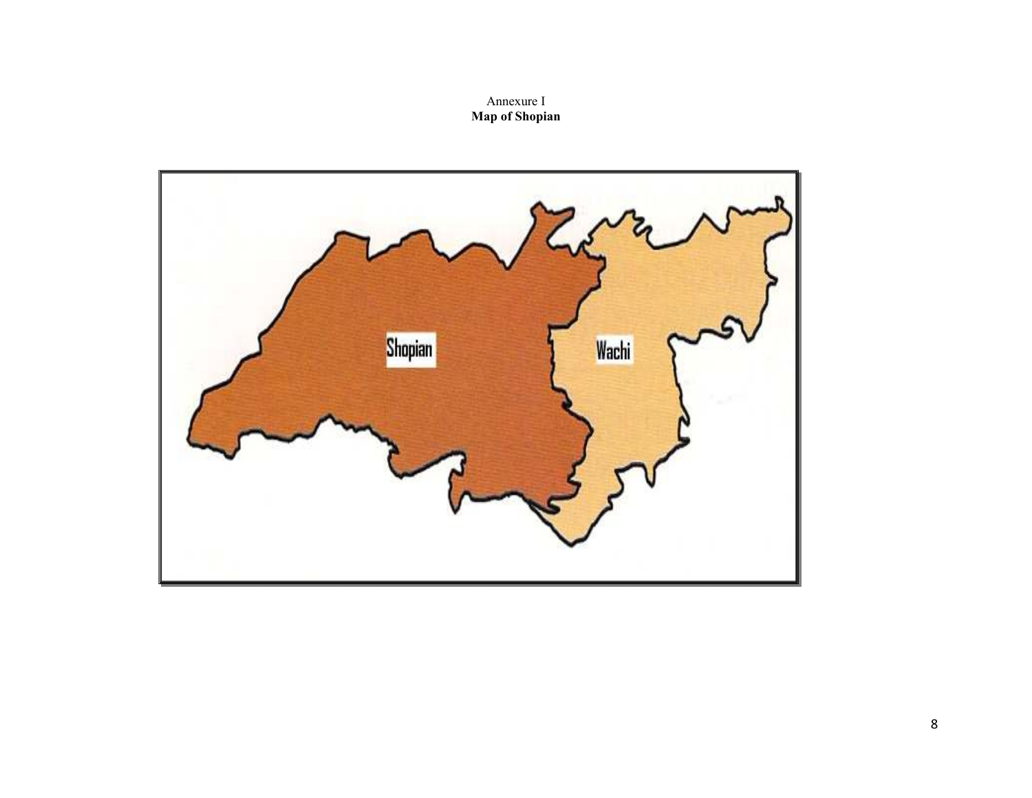# Annexure I Map of Shopian

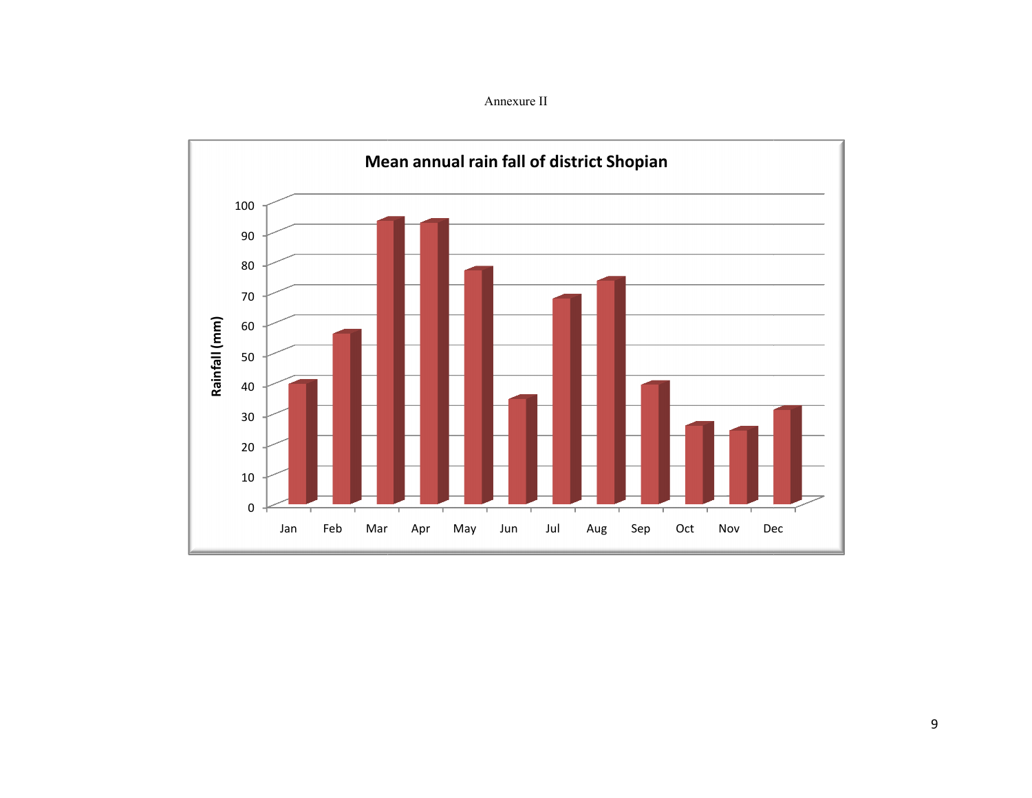Annexure II

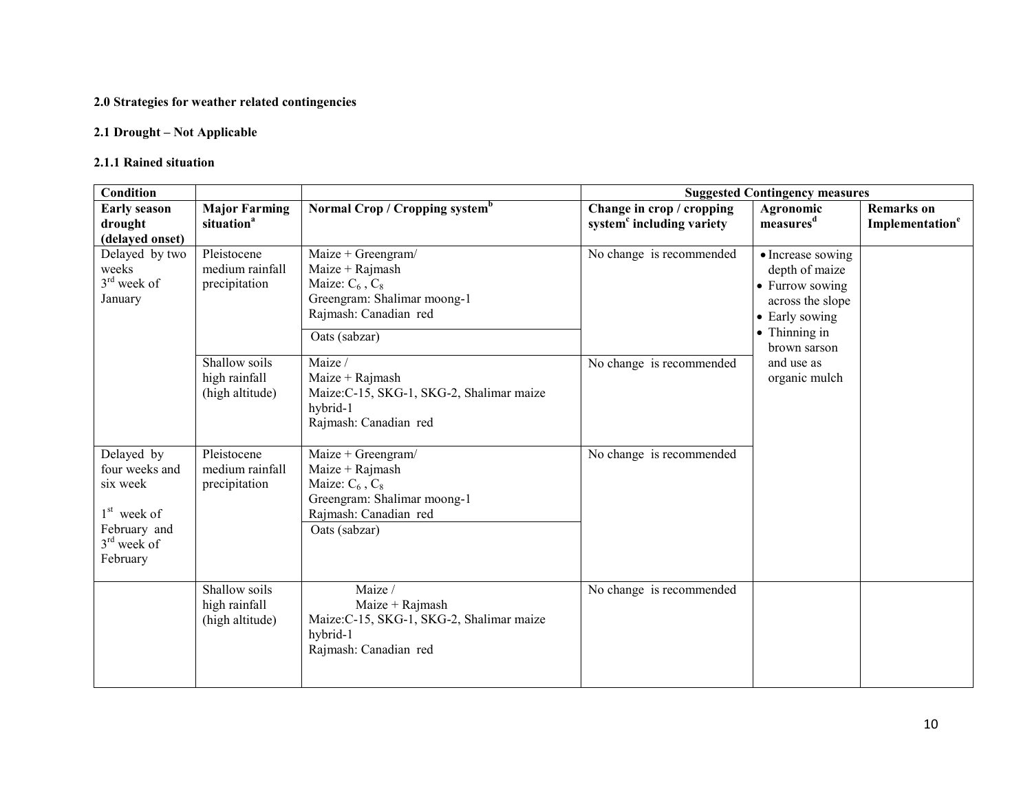#### 2.0 Strategies for weather related contingencies

#### 2.1 Drought – Not Applicable

#### 2.1.1 Rained situation

| Condition                                                                                                        |                                                   |                                                                                                                                          | <b>Suggested Contingency measures</b>                              |                                                                                                                               |                                                  |  |
|------------------------------------------------------------------------------------------------------------------|---------------------------------------------------|------------------------------------------------------------------------------------------------------------------------------------------|--------------------------------------------------------------------|-------------------------------------------------------------------------------------------------------------------------------|--------------------------------------------------|--|
| <b>Early season</b><br>drought<br>(delayed onset)                                                                | <b>Major Farming</b><br>situation <sup>a</sup>    | Normal Crop / Cropping system <sup>b</sup>                                                                                               | Change in crop / cropping<br>system <sup>c</sup> including variety | Agronomic<br>measures <sup>d</sup>                                                                                            | <b>Remarks</b> on<br>Implementation <sup>e</sup> |  |
| Delayed by two<br>weeks<br>$3rd$ week of<br>January                                                              | Pleistocene<br>medium rainfall<br>precipitation   | Maize + Greengram/<br>Maize + Rajmash<br>Maize: $C_6$ , $C_8$<br>Greengram: Shalimar moong-1<br>Rajmash: Canadian red<br>Oats (sabzar)   | No change is recommended                                           | • Increase sowing<br>depth of maize<br>• Furrow sowing<br>across the slope<br>• Early sowing<br>• Thinning in<br>brown sarson |                                                  |  |
|                                                                                                                  | Shallow soils<br>high rainfall<br>(high altitude) | Maize /<br>Maize + $Rajmash$<br>Maize: C-15, SKG-1, SKG-2, Shalimar maize<br>hybrid-1<br>Rajmash: Canadian red                           | No change is recommended                                           | and use as<br>organic mulch                                                                                                   |                                                  |  |
| Delayed by<br>four weeks and<br>six week<br>1 <sup>st</sup> week of<br>February and<br>$3rd$ week of<br>February | Pleistocene<br>medium rainfall<br>precipitation   | Maize + Greengram/<br>Maize + $Rajmash$<br>Maize: $C_6$ , $C_8$<br>Greengram: Shalimar moong-1<br>Rajmash: Canadian red<br>Oats (sabzar) | No change is recommended                                           |                                                                                                                               |                                                  |  |
|                                                                                                                  | Shallow soils<br>high rainfall<br>(high altitude) | Maize /<br>Maize + Rajmash<br>Maize:C-15, SKG-1, SKG-2, Shalimar maize<br>hybrid-1<br>Rajmash: Canadian red                              | No change is recommended                                           |                                                                                                                               |                                                  |  |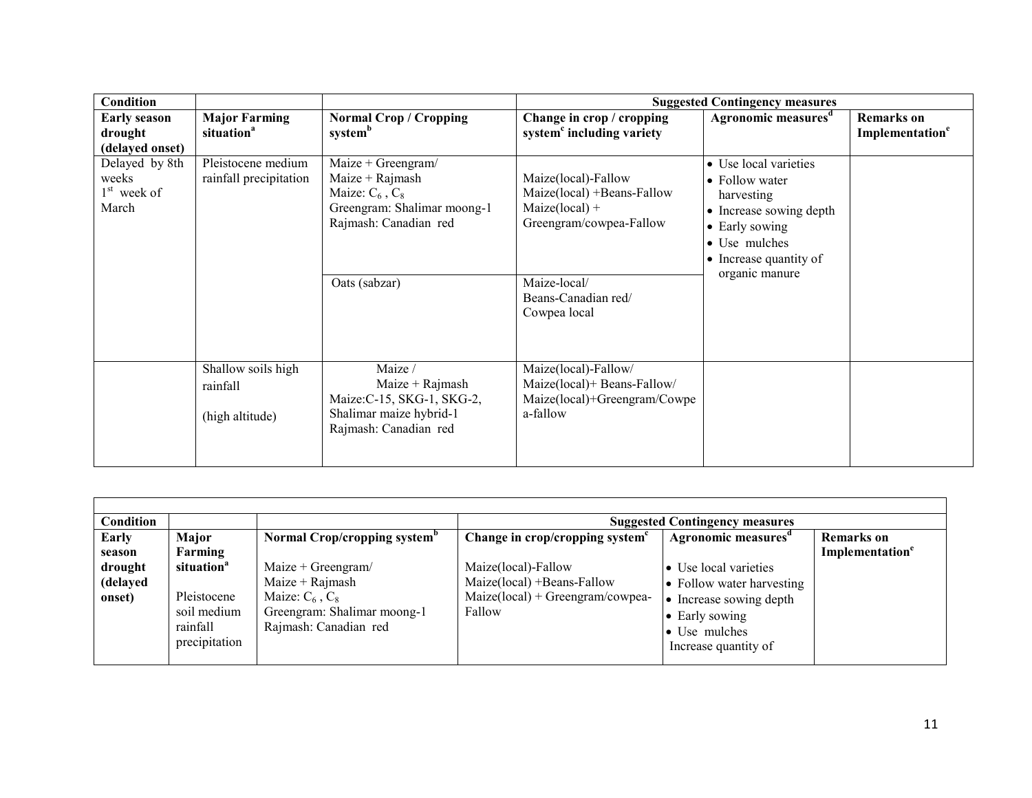| <b>Condition</b>                                  |                                                   |                                                                                                                                            |                                                                                                                  | <b>Suggested Contingency measures</b>                                                                                                                           |                                                  |
|---------------------------------------------------|---------------------------------------------------|--------------------------------------------------------------------------------------------------------------------------------------------|------------------------------------------------------------------------------------------------------------------|-----------------------------------------------------------------------------------------------------------------------------------------------------------------|--------------------------------------------------|
| <b>Early season</b><br>drought<br>(delayed onset) | <b>Major Farming</b><br>situation <sup>a</sup>    | <b>Normal Crop / Cropping</b><br>system <sup>b</sup>                                                                                       | Change in crop / cropping<br>system <sup>c</sup> including variety                                               | Agronomic measures <sup>d</sup>                                                                                                                                 | <b>Remarks</b> on<br>Implementation <sup>e</sup> |
| Delayed by 8th<br>weeks<br>$1st$ week of<br>March | Pleistocene medium<br>rainfall precipitation      | $Maize + Greengram/$<br>$Maize + Rajmash$<br>Maize: $C_6$ , $C_8$<br>Greengram: Shalimar moong-1<br>Rajmash: Canadian red<br>Oats (sabzar) | Maize(local)-Fallow<br>Maize(local) +Beans-Fallow<br>$Maize(local) +$<br>Greengram/cowpea-Fallow<br>Maize-local/ | • Use local varieties<br>• Follow water<br>harvesting<br>• Increase sowing depth<br>• Early sowing<br>• Use mulches<br>• Increase quantity of<br>organic manure |                                                  |
|                                                   |                                                   |                                                                                                                                            | Beans-Canadian red/<br>Cowpea local                                                                              |                                                                                                                                                                 |                                                  |
|                                                   | Shallow soils high<br>rainfall<br>(high altitude) | Maize /<br>$Maize + Rajmask$<br>Maize: C-15, SKG-1, SKG-2,<br>Shalimar maize hybrid-1<br>Rajmash: Canadian red                             | Maize(local)-Fallow/<br>Maize(local)+ Beans-Fallow/<br>Maize(local)+Greengram/Cowpe<br>a-fallow                  |                                                                                                                                                                 |                                                  |

| Condition                                        |                                                                                                       |                                                                                                                                                                     |                                                                                                                                                  | <b>Suggested Contingency measures</b>                                                                                                                                       |                                                  |
|--------------------------------------------------|-------------------------------------------------------------------------------------------------------|---------------------------------------------------------------------------------------------------------------------------------------------------------------------|--------------------------------------------------------------------------------------------------------------------------------------------------|-----------------------------------------------------------------------------------------------------------------------------------------------------------------------------|--------------------------------------------------|
| Early<br>season<br>drought<br>(delayed<br>onset) | Major<br>Farming<br>situation <sup>a</sup><br>Pleistocene<br>soil medium<br>rainfall<br>precipitation | Normal Crop/cropping system <sup>b</sup><br>Maize + Greengram/<br>Maize $+$ Rajmash<br>Maize: $C_6$ , $C_8$<br>Greengram: Shalimar moong-1<br>Rajmash: Canadian red | Change in crop/cropping system <sup>c</sup><br>Maize(local)-Fallow<br>Maize(local) +Beans-Fallow<br>$Maize(local) + Greengram/cowpea-$<br>Fallow | Agronomic measures <sup>d</sup><br>• Use local varieties<br>• Follow water harvesting<br>• Increase sowing depth<br>• Early sowing<br>• Use mulches<br>Increase quantity of | <b>Remarks</b> on<br>Implementation <sup>e</sup> |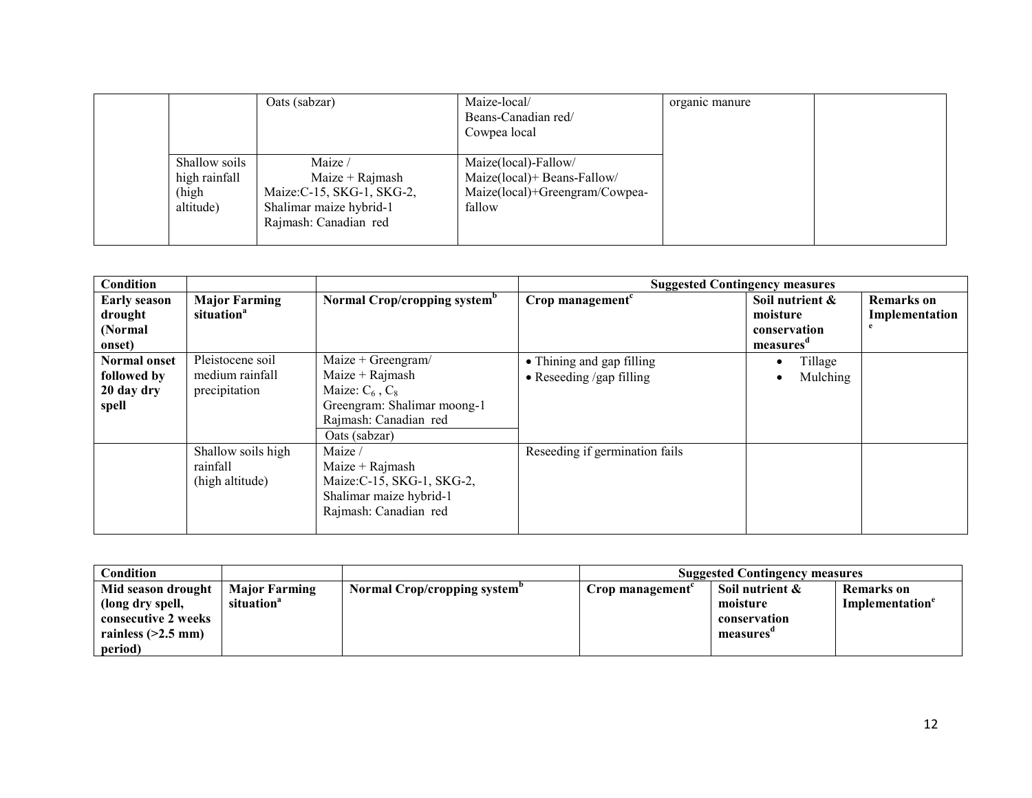|                                                      | Oats (sabzar)                                                                                                | Maize-local/<br>Beans-Canadian red/<br>Cowpea local                                             | organic manure |  |
|------------------------------------------------------|--------------------------------------------------------------------------------------------------------------|-------------------------------------------------------------------------------------------------|----------------|--|
| Shallow soils<br>high rainfall<br>(high<br>altitude) | Maize /<br>Maize + Rajmash<br>Maize: C-15, SKG-1, SKG-2,<br>Shalimar maize hybrid-1<br>Rajmash: Canadian red | Maize(local)-Fallow/<br>Maize(local)+ Beans-Fallow/<br>Maize(local)+Greengram/Cowpea-<br>fallow |                |  |

| Condition                                                 |                                                      |                                                                                                                                          | <b>Suggested Contingency measures</b>                         |                                                         |                              |
|-----------------------------------------------------------|------------------------------------------------------|------------------------------------------------------------------------------------------------------------------------------------------|---------------------------------------------------------------|---------------------------------------------------------|------------------------------|
| <b>Early season</b><br>drought<br>(Normal<br>onset)       | <b>Major Farming</b><br>situation <sup>a</sup>       | Normal Crop/cropping system <sup>b</sup>                                                                                                 | Crop management $c$                                           | Soil nutrient &<br>moisture<br>conservation<br>measures | Remarks on<br>Implementation |
| <b>Normal onset</b><br>followed by<br>20 day dry<br>spell | Pleistocene soil<br>medium rainfall<br>precipitation | Maize + Greengram/<br>Maize + $Rajmash$<br>Maize: $C_6$ , $C_8$<br>Greengram: Shalimar moong-1<br>Rajmash: Canadian red<br>Oats (sabzar) | • Thining and gap filling<br>$\bullet$ Reseeding /gap filling | Tillage<br>$\bullet$<br>Mulching<br>$\bullet$           |                              |
|                                                           | Shallow soils high<br>rainfall<br>(high altitude)    | Maize /<br>Maize + $Rajmash$<br>Maize: C-15, SKG-1, SKG-2,<br>Shalimar maize hybrid-1<br>Rajmash: Canadian red                           | Reseeding if germination fails                                |                                                         |                              |

| Condition            |                        |                                          | <b>Suggested Contingency measures</b> |                 |                             |
|----------------------|------------------------|------------------------------------------|---------------------------------------|-----------------|-----------------------------|
| Mid season drought   | <b>Major Farming</b>   | Normal Crop/cropping system <sup>p</sup> | $C$ rop management $C$                | Soil nutrient & | <b>Remarks</b> on           |
| (long dry spell,     | situation <sup>a</sup> |                                          |                                       | moisture        | Implementation <sup>e</sup> |
| consecutive 2 weeks  |                        |                                          |                                       | conservation    |                             |
| rainless $(>2.5$ mm) |                        |                                          |                                       | measures        |                             |
| period)              |                        |                                          |                                       |                 |                             |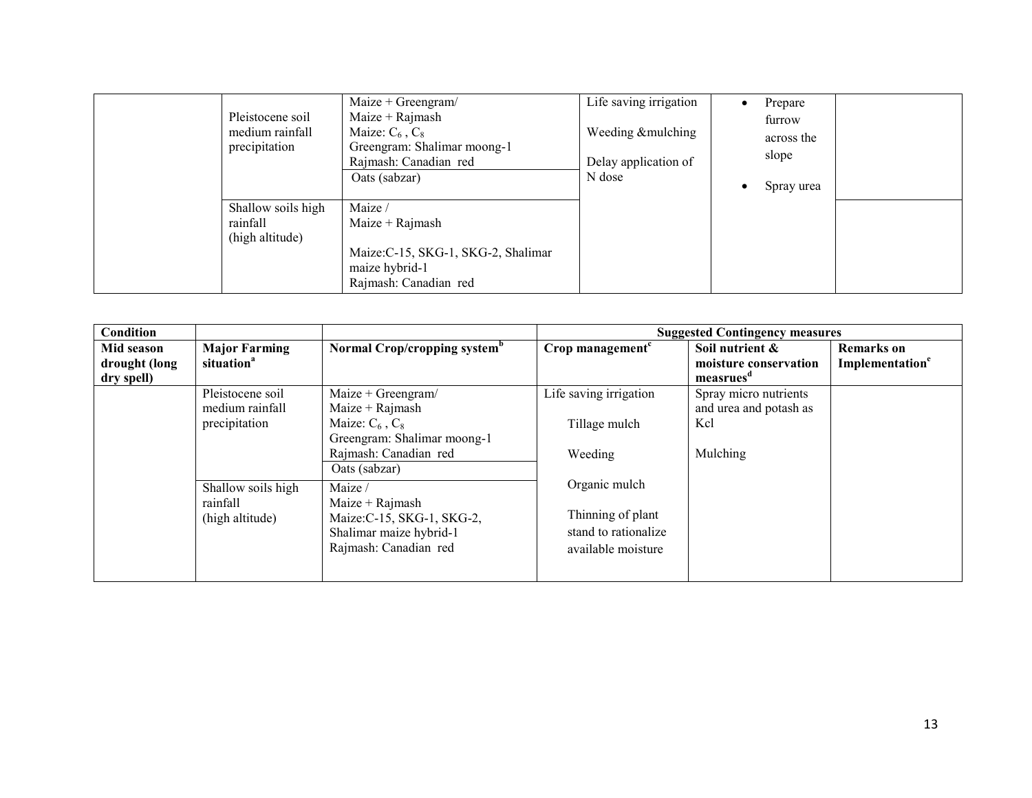| Pleistocene soil<br>medium rainfall<br>precipitation | Maize + Greengram/<br>$Maize + Rajmask$<br>Maize: $C_6$ , $C_8$<br>Greengram: Shalimar moong-1<br>Rajmash: Canadian red<br>Oats (sabzar) | Life saving irrigation<br>Weeding & mulching<br>Delay application of<br>N dose | Prepare<br>furrow<br>across the<br>slope<br>Spray urea |  |
|------------------------------------------------------|------------------------------------------------------------------------------------------------------------------------------------------|--------------------------------------------------------------------------------|--------------------------------------------------------|--|
| Shallow soils high<br>rainfall<br>(high altitude)    | Maize /<br>Maize $+$ Rajmash<br>Maize: C-15, SKG-1, SKG-2, Shalimar<br>maize hybrid-1<br>Rajmash: Canadian red                           |                                                                                |                                                        |  |

| Condition                                 |                                                      |                                                                                                                |                                                                                  | <b>Suggested Contingency measures</b>                             |                                                  |
|-------------------------------------------|------------------------------------------------------|----------------------------------------------------------------------------------------------------------------|----------------------------------------------------------------------------------|-------------------------------------------------------------------|--------------------------------------------------|
| Mid season<br>drought (long<br>dry spell) | <b>Major Farming</b><br>situation <sup>a</sup>       | Normal Crop/cropping system <sup>b</sup>                                                                       | Crop management <sup>c</sup>                                                     | Soil nutrient &<br>moisture conservation<br>measrues <sup>a</sup> | <b>Remarks</b> on<br>Implementation <sup>e</sup> |
|                                           | Pleistocene soil<br>medium rainfall<br>precipitation | $Maize + Greengram/$<br>Maize $+$ Rajmash<br>Maize: $C_6$ , $C_8$<br>Greengram: Shalimar moong-1               | Life saving irrigation<br>Tillage mulch                                          | Spray micro nutrients<br>and urea and potash as<br>Kcl            |                                                  |
|                                           |                                                      | Rajmash: Canadian red<br>Oats (sabzar)                                                                         | Weeding                                                                          | Mulching                                                          |                                                  |
|                                           | Shallow soils high<br>rainfall<br>(high altitude)    | Maize /<br>$Maize + Rajmash$<br>Maize: C-15, SKG-1, SKG-2,<br>Shalimar maize hybrid-1<br>Rajmash: Canadian red | Organic mulch<br>Thinning of plant<br>stand to rationalize<br>available moisture |                                                                   |                                                  |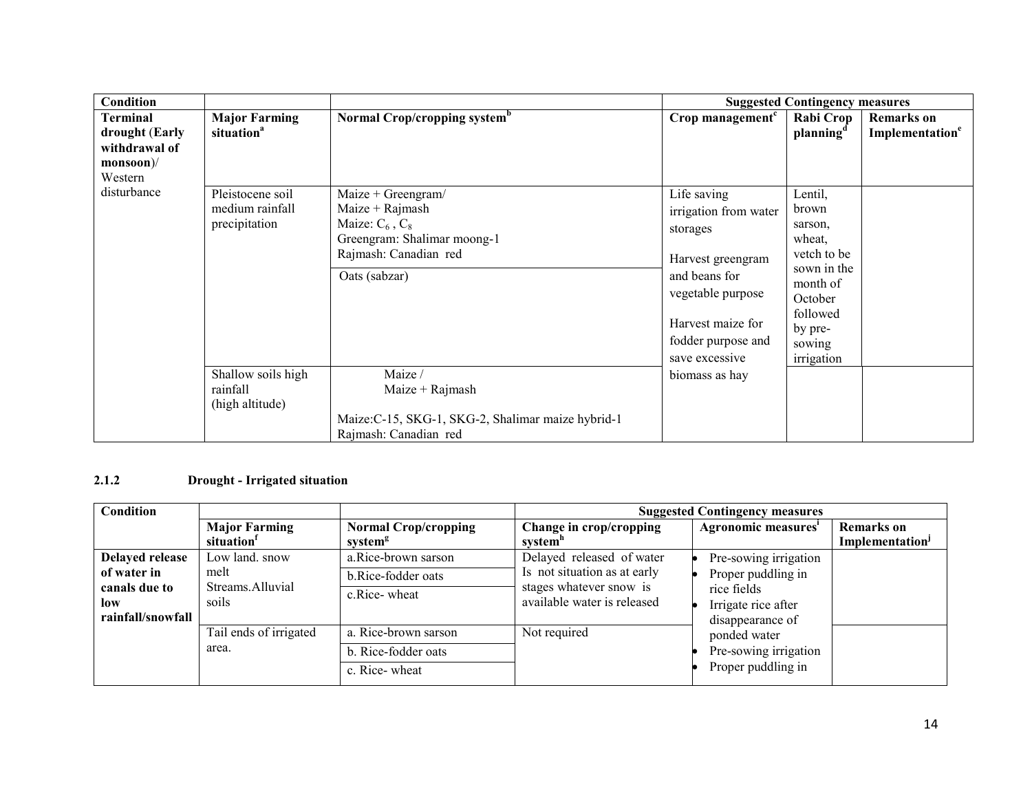| <b>Condition</b>                                                                 |                                                      |                                                                                                                                          |                                                                                                                                                                          | <b>Suggested Contingency measures</b>                                                                                                     |                                                  |
|----------------------------------------------------------------------------------|------------------------------------------------------|------------------------------------------------------------------------------------------------------------------------------------------|--------------------------------------------------------------------------------------------------------------------------------------------------------------------------|-------------------------------------------------------------------------------------------------------------------------------------------|--------------------------------------------------|
| Terminal<br>drought (Early<br>withdrawal of<br>$monsoon$ $\mathcal V$<br>Western | <b>Major Farming</b><br>situation <sup>a</sup>       | Normal Crop/cropping system <sup>b</sup>                                                                                                 | Crop management <sup>c</sup>                                                                                                                                             | Rabi Crop<br>planning <sup>d</sup>                                                                                                        | <b>Remarks</b> on<br>Implementation <sup>e</sup> |
| disturbance                                                                      | Pleistocene soil<br>medium rainfall<br>precipitation | $Maize + Greengram/$<br>Maize + Rajmash<br>Maize: $C_6$ , $C_8$<br>Greengram: Shalimar moong-1<br>Rajmash: Canadian red<br>Oats (sabzar) | Life saving<br>irrigation from water<br>storages<br>Harvest greengram<br>and beans for<br>vegetable purpose<br>Harvest maize for<br>fodder purpose and<br>save excessive | Lentil,<br>brown<br>sarson,<br>wheat,<br>vetch to be<br>sown in the<br>month of<br>October<br>followed<br>by pre-<br>sowing<br>irrigation |                                                  |
|                                                                                  | Shallow soils high<br>rainfall<br>(high altitude)    | Maize /<br>Maize $+$ Rajmash<br>Maize: C-15, SKG-1, SKG-2, Shalimar maize hybrid-1<br>Rajmash: Canadian red                              | biomass as hay                                                                                                                                                           |                                                                                                                                           |                                                  |

### 2.1.2 Drought - Irrigated situation

| Condition         |                        |                             | <b>Suggested Contingency measures</b>                  |                                                          |                             |
|-------------------|------------------------|-----------------------------|--------------------------------------------------------|----------------------------------------------------------|-----------------------------|
|                   | <b>Major Farming</b>   | <b>Normal Crop/cropping</b> | Change in crop/cropping                                | Agronomic measures'                                      | <b>Remarks</b> on           |
|                   | situation <sup>1</sup> | system <sup>g</sup>         | system"                                                |                                                          | Implementation <sup>J</sup> |
| Delayed release   | Low land, snow         | a.Rice-brown sarson         | Delayed released of water                              | Pre-sowing irrigation                                    |                             |
| of water in       | melt                   | b.Rice-fodder oats          | Is not situation as at early                           | Proper puddling in<br>rice fields<br>Irrigate rice after |                             |
| canals due to     | Streams.Alluvial       | c.Rice-wheat                | stages whatever snow is<br>available water is released |                                                          |                             |
| low               | soils                  |                             |                                                        |                                                          |                             |
| rainfall/snowfall |                        |                             |                                                        | disappearance of                                         |                             |
|                   | Tail ends of irrigated | a. Rice-brown sarson        | Not required                                           | ponded water                                             |                             |
|                   | area.                  | b. Rice-fodder oats         |                                                        | Pre-sowing irrigation                                    |                             |
|                   |                        | c. Rice-wheat               |                                                        | Proper puddling in                                       |                             |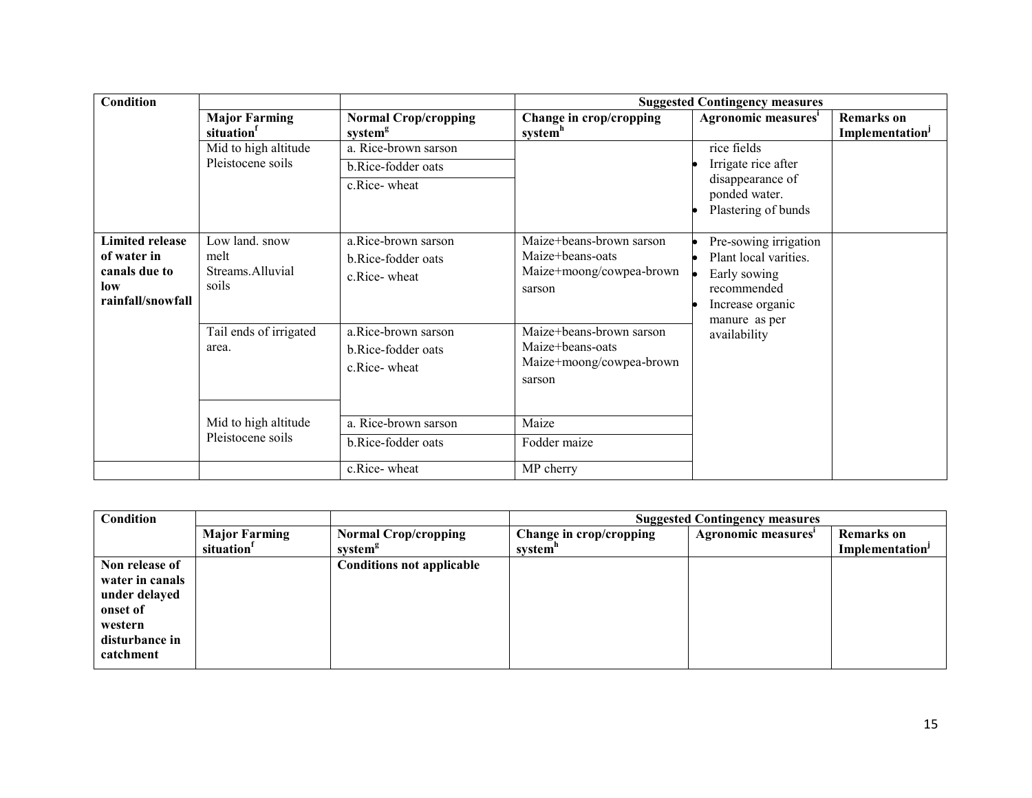| Condition                                                                          |                                                     |                                                            |                                                                                    | <b>Suggested Contingency measures</b>                                                                                              |                                                  |
|------------------------------------------------------------------------------------|-----------------------------------------------------|------------------------------------------------------------|------------------------------------------------------------------------------------|------------------------------------------------------------------------------------------------------------------------------------|--------------------------------------------------|
|                                                                                    | <b>Major Farming</b><br>situation                   | <b>Normal Crop/cropping</b><br>system <sup>g</sup>         | Change in crop/cropping<br>systemh                                                 | Agronomic measures'                                                                                                                | <b>Remarks</b> on<br>Implementation <sup>J</sup> |
|                                                                                    | Mid to high altitude<br>Pleistocene soils           | a. Rice-brown sarson<br>b.Rice-fodder oats<br>c.Rice-wheat |                                                                                    | rice fields<br>Irrigate rice after<br>disappearance of<br>ponded water.<br>Plastering of bunds                                     |                                                  |
| <b>Limited release</b><br>of water in<br>canals due to<br>low<br>rainfall/snowfall | Low land. snow<br>melt<br>Streams Alluvial<br>soils | a.Rice-brown sarson<br>b.Rice-fodder oats<br>c.Rice-wheat  | Maize+beans-brown sarson<br>Maize+beans-oats<br>Maize+moong/cowpea-brown<br>sarson | Pre-sowing irrigation<br>Plant local varities.<br>Early sowing<br>recommended<br>Increase organic<br>manure as per<br>availability |                                                  |
|                                                                                    | Tail ends of irrigated<br>area.                     | a.Rice-brown sarson<br>b.Rice-fodder oats<br>c.Rice-wheat  | Maize+beans-brown sarson<br>Maize+beans-oats<br>Maize+moong/cowpea-brown<br>sarson |                                                                                                                                    |                                                  |
|                                                                                    | Mid to high altitude<br>Pleistocene soils           | a. Rice-brown sarson<br>b.Rice-fodder oats                 | Maize<br>Fodder maize                                                              |                                                                                                                                    |                                                  |
|                                                                                    |                                                     | c.Rice-wheat                                               | MP cherry                                                                          |                                                                                                                                    |                                                  |

| Condition       |                        |                                  | <b>Suggested Contingency measures</b> |                     |                             |
|-----------------|------------------------|----------------------------------|---------------------------------------|---------------------|-----------------------------|
|                 | <b>Major Farming</b>   | <b>Normal Crop/cropping</b>      | Change in crop/cropping               | Agronomic measures' | <b>Remarks</b> on           |
|                 | situation <sup>1</sup> | system <sup>g</sup>              | system"                               |                     | Implementation <sup>J</sup> |
| Non release of  |                        | <b>Conditions not applicable</b> |                                       |                     |                             |
| water in canals |                        |                                  |                                       |                     |                             |
| under delayed   |                        |                                  |                                       |                     |                             |
| onset of        |                        |                                  |                                       |                     |                             |
| western         |                        |                                  |                                       |                     |                             |
| disturbance in  |                        |                                  |                                       |                     |                             |
| catchment       |                        |                                  |                                       |                     |                             |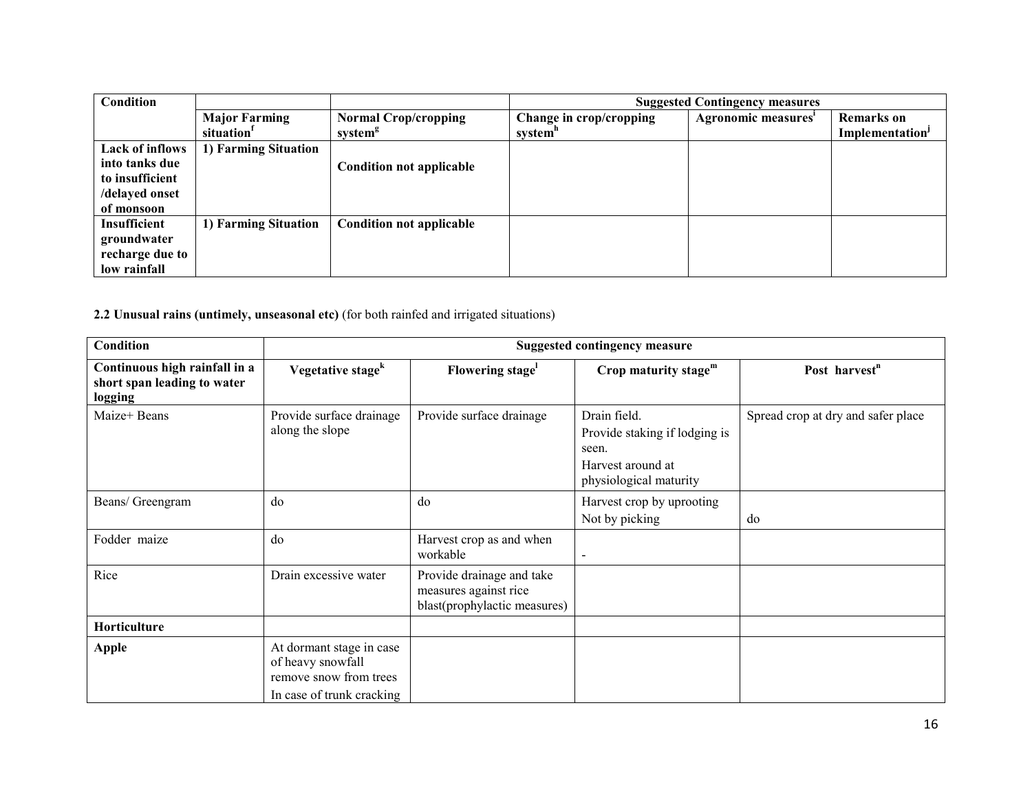| Condition              |                        |                                 | <b>Suggested Contingency measures</b> |                     |                             |
|------------------------|------------------------|---------------------------------|---------------------------------------|---------------------|-----------------------------|
|                        | <b>Major Farming</b>   | <b>Normal Crop/cropping</b>     | Change in crop/cropping               | Agronomic measures' | <b>Remarks</b> on           |
|                        | situation <sup>1</sup> | system <sup>g</sup>             | system"                               |                     | Implementation <sup>J</sup> |
| <b>Lack of inflows</b> | 1) Farming Situation   |                                 |                                       |                     |                             |
| into tanks due         |                        | <b>Condition not applicable</b> |                                       |                     |                             |
| to insufficient        |                        |                                 |                                       |                     |                             |
| /delayed onset         |                        |                                 |                                       |                     |                             |
| of monsoon             |                        |                                 |                                       |                     |                             |
| Insufficient           | 1) Farming Situation   | <b>Condition not applicable</b> |                                       |                     |                             |
| groundwater            |                        |                                 |                                       |                     |                             |
| recharge due to        |                        |                                 |                                       |                     |                             |
| low rainfall           |                        |                                 |                                       |                     |                             |

2.2 Unusual rains (untimely, unseasonal etc) (for both rainfed and irrigated situations)

| <b>Condition</b>                                                        | <b>Suggested contingency measure</b>                                                                 |                                                                                    |                                                                                                       |                                    |  |
|-------------------------------------------------------------------------|------------------------------------------------------------------------------------------------------|------------------------------------------------------------------------------------|-------------------------------------------------------------------------------------------------------|------------------------------------|--|
| Continuous high rainfall in a<br>short span leading to water<br>logging | Vegetative stage <sup>k</sup>                                                                        | Flowering stage <sup>1</sup>                                                       | Crop maturity stage $m$                                                                               | Post harvest <sup>n</sup>          |  |
| Maize+ Beans                                                            | Provide surface drainage<br>along the slope                                                          | Provide surface drainage                                                           | Drain field.<br>Provide staking if lodging is<br>seen.<br>Harvest around at<br>physiological maturity | Spread crop at dry and safer place |  |
| Beans/ Greengram                                                        | do                                                                                                   | do                                                                                 | Harvest crop by uprooting<br>Not by picking                                                           | do                                 |  |
| Fodder maize                                                            | do                                                                                                   | Harvest crop as and when<br>workable                                               | $\overline{\phantom{a}}$                                                                              |                                    |  |
| Rice                                                                    | Drain excessive water                                                                                | Provide drainage and take<br>measures against rice<br>blast(prophylactic measures) |                                                                                                       |                                    |  |
| Horticulture                                                            |                                                                                                      |                                                                                    |                                                                                                       |                                    |  |
| Apple                                                                   | At dormant stage in case<br>of heavy snowfall<br>remove snow from trees<br>In case of trunk cracking |                                                                                    |                                                                                                       |                                    |  |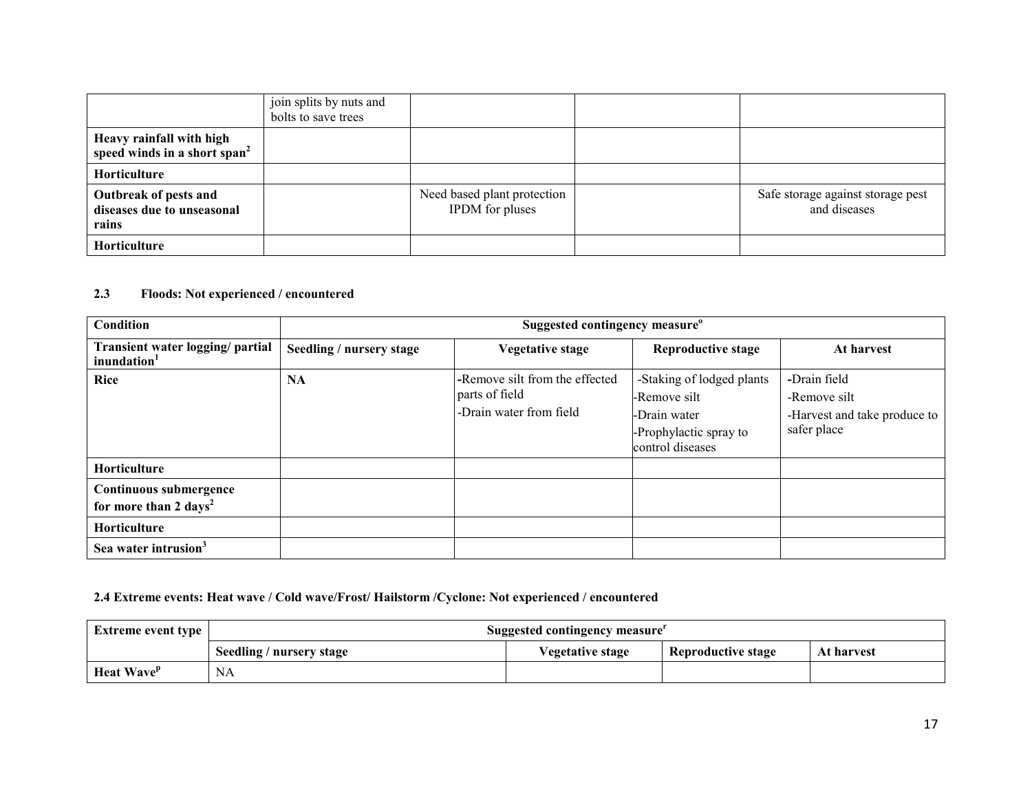|                                                                      | join splits by nuts and<br>bolts to save trees |                                                       |                                                   |
|----------------------------------------------------------------------|------------------------------------------------|-------------------------------------------------------|---------------------------------------------------|
| Heavy rainfall with high<br>speed winds in a short span <sup>2</sup> |                                                |                                                       |                                                   |
| Horticulture                                                         |                                                |                                                       |                                                   |
| Outbreak of pests and<br>diseases due to unseasonal<br>rains         |                                                | Need based plant protection<br><b>IPDM</b> for pluses | Safe storage against storage pest<br>and diseases |
| Horticulture                                                         |                                                |                                                       |                                                   |

#### 2.3 Floods: Not experienced / encountered

| Condition                                                   |                          | Suggested contingency measure <sup>o</sup>                                  |                                                                                                         |                                                                             |  |  |
|-------------------------------------------------------------|--------------------------|-----------------------------------------------------------------------------|---------------------------------------------------------------------------------------------------------|-----------------------------------------------------------------------------|--|--|
| Transient water logging/ partial<br>inundation <sup>1</sup> | Seedling / nursery stage | <b>Vegetative stage</b>                                                     | <b>Reproductive stage</b>                                                                               | At harvest                                                                  |  |  |
| <b>Rice</b>                                                 | <b>NA</b>                | -Remove silt from the effected<br>parts of field<br>-Drain water from field | -Staking of lodged plants<br>-Remove silt<br>-Drain water<br>-Prophylactic spray to<br>control diseases | -Drain field<br>-Remove silt<br>-Harvest and take produce to<br>safer place |  |  |
| <b>Horticulture</b>                                         |                          |                                                                             |                                                                                                         |                                                                             |  |  |
| Continuous submergence<br>for more than 2 days <sup>2</sup> |                          |                                                                             |                                                                                                         |                                                                             |  |  |
| Horticulture                                                |                          |                                                                             |                                                                                                         |                                                                             |  |  |
| Sea water intrusion <sup>3</sup>                            |                          |                                                                             |                                                                                                         |                                                                             |  |  |

#### 2.4 Extreme events: Heat wave / Cold wave/Frost/ Hailstorm /Cyclone: Not experienced / encountered

| <b>Extreme event type</b>     | Suggested contingency measure |                  |                           |            |  |
|-------------------------------|-------------------------------|------------------|---------------------------|------------|--|
|                               | Seedling / nursery stage      | Vegetative stage | <b>Reproductive stage</b> | At harvest |  |
| <b>Heat Wave</b> <sup>p</sup> | <b>NA</b>                     |                  |                           |            |  |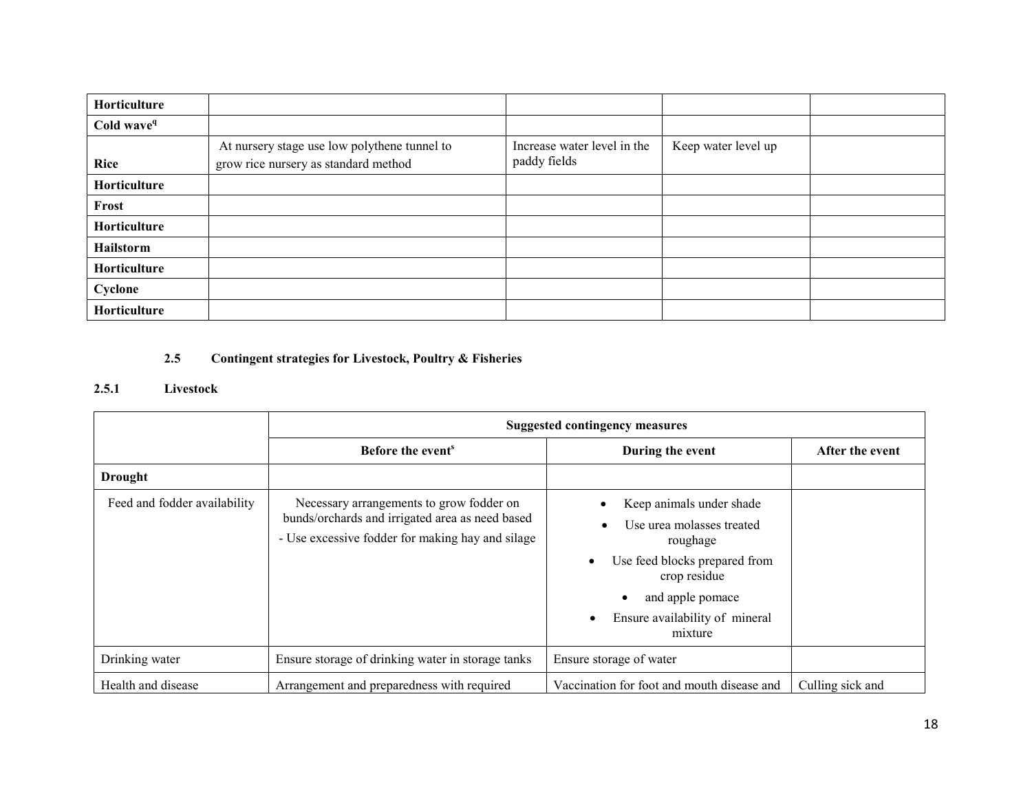| Horticulture           |                                                                                      |                                             |                     |  |
|------------------------|--------------------------------------------------------------------------------------|---------------------------------------------|---------------------|--|
| Cold wave <sup>q</sup> |                                                                                      |                                             |                     |  |
| Rice                   | At nursery stage use low polythene tunnel to<br>grow rice nursery as standard method | Increase water level in the<br>paddy fields | Keep water level up |  |
| Horticulture           |                                                                                      |                                             |                     |  |
| Frost                  |                                                                                      |                                             |                     |  |
| Horticulture           |                                                                                      |                                             |                     |  |
| Hailstorm              |                                                                                      |                                             |                     |  |
| Horticulture           |                                                                                      |                                             |                     |  |
| Cyclone                |                                                                                      |                                             |                     |  |
| Horticulture           |                                                                                      |                                             |                     |  |

#### 2.5Contingent strategies for Livestock, Poultry & Fisheries

#### 2.5.1 Livestock

|                              | <b>Suggested contingency measures</b>                                                                                                           |                                                                                                                                                                                     |                  |  |  |
|------------------------------|-------------------------------------------------------------------------------------------------------------------------------------------------|-------------------------------------------------------------------------------------------------------------------------------------------------------------------------------------|------------------|--|--|
|                              | Before the event <sup>s</sup>                                                                                                                   | During the event                                                                                                                                                                    | After the event  |  |  |
| <b>Drought</b>               |                                                                                                                                                 |                                                                                                                                                                                     |                  |  |  |
| Feed and fodder availability | Necessary arrangements to grow fodder on<br>bunds/orchards and irrigated area as need based<br>- Use excessive fodder for making hay and silage | Keep animals under shade<br>Use urea molasses treated<br>roughage<br>Use feed blocks prepared from<br>crop residue<br>and apple pomace<br>Ensure availability of mineral<br>mixture |                  |  |  |
| Drinking water               | Ensure storage of drinking water in storage tanks                                                                                               | Ensure storage of water                                                                                                                                                             |                  |  |  |
| Health and disease           | Arrangement and preparedness with required                                                                                                      | Vaccination for foot and mouth disease and                                                                                                                                          | Culling sick and |  |  |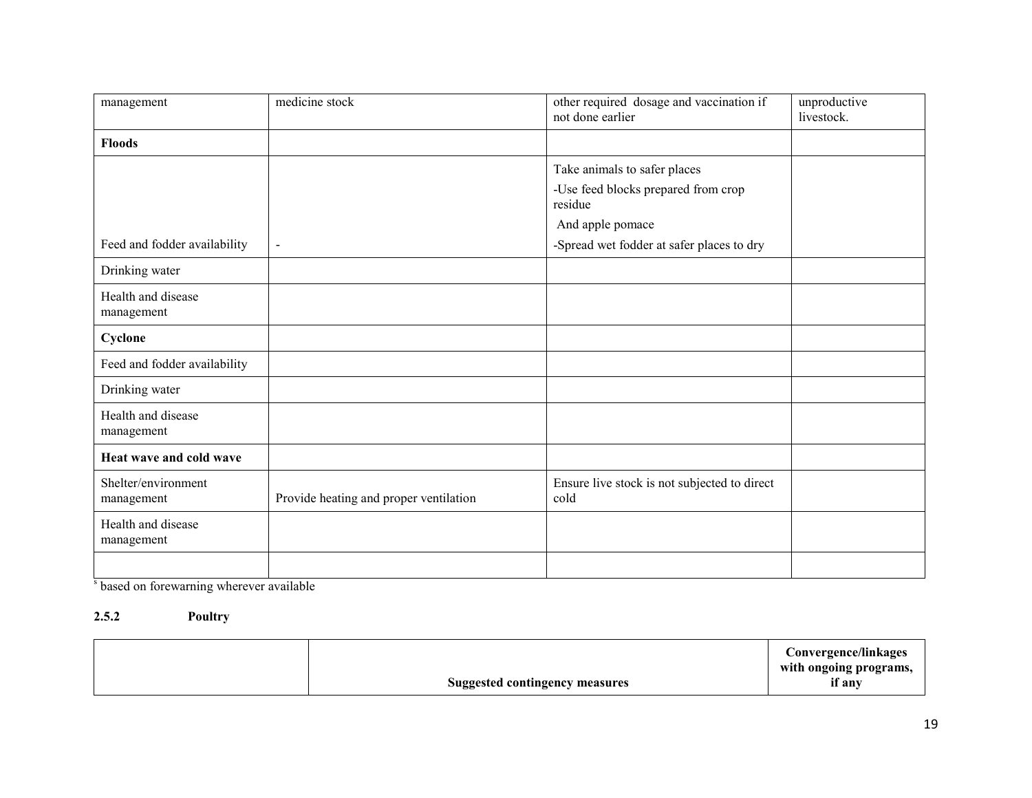| management                        | medicine stock                         | other required dosage and vaccination if<br>not done earlier | unproductive<br>livestock. |
|-----------------------------------|----------------------------------------|--------------------------------------------------------------|----------------------------|
| <b>Floods</b>                     |                                        |                                                              |                            |
|                                   |                                        | Take animals to safer places                                 |                            |
|                                   |                                        | -Use feed blocks prepared from crop<br>residue               |                            |
|                                   |                                        | And apple pomace                                             |                            |
| Feed and fodder availability      | $\blacksquare$                         | -Spread wet fodder at safer places to dry                    |                            |
| Drinking water                    |                                        |                                                              |                            |
| Health and disease<br>management  |                                        |                                                              |                            |
| Cyclone                           |                                        |                                                              |                            |
| Feed and fodder availability      |                                        |                                                              |                            |
| Drinking water                    |                                        |                                                              |                            |
| Health and disease<br>management  |                                        |                                                              |                            |
| Heat wave and cold wave           |                                        |                                                              |                            |
| Shelter/environment<br>management | Provide heating and proper ventilation | Ensure live stock is not subjected to direct<br>cold         |                            |
| Health and disease<br>management  |                                        |                                                              |                            |
|                                   |                                        |                                                              |                            |

s based on forewarning wherever available

#### 2.5.2 Poultry

|  | <b>Suggested contingency measures</b> | Convergence/linkages<br>with ongoing programs,<br>if any |
|--|---------------------------------------|----------------------------------------------------------|
|--|---------------------------------------|----------------------------------------------------------|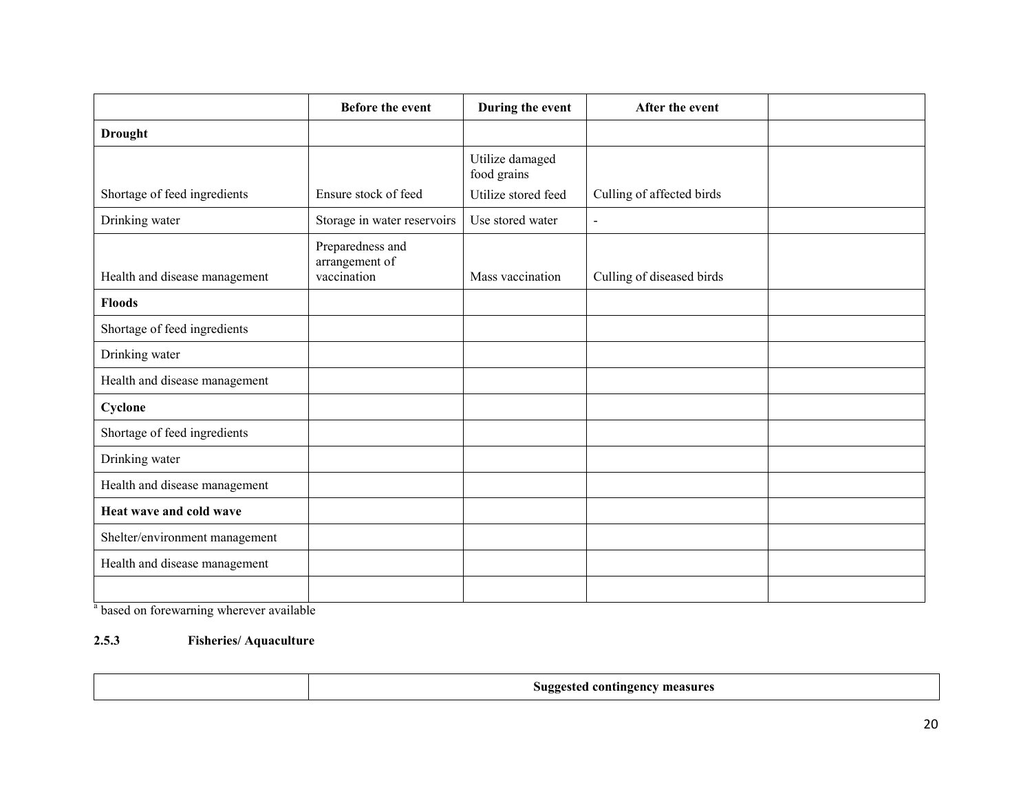|                                | <b>Before the event</b>                           | During the event               | After the event           |  |
|--------------------------------|---------------------------------------------------|--------------------------------|---------------------------|--|
| <b>Drought</b>                 |                                                   |                                |                           |  |
|                                |                                                   | Utilize damaged<br>food grains |                           |  |
| Shortage of feed ingredients   | Ensure stock of feed                              | Utilize stored feed            | Culling of affected birds |  |
| Drinking water                 | Storage in water reservoirs                       | Use stored water               | $\sim$                    |  |
| Health and disease management  | Preparedness and<br>arrangement of<br>vaccination | Mass vaccination               | Culling of diseased birds |  |
| <b>Floods</b>                  |                                                   |                                |                           |  |
| Shortage of feed ingredients   |                                                   |                                |                           |  |
| Drinking water                 |                                                   |                                |                           |  |
| Health and disease management  |                                                   |                                |                           |  |
| Cyclone                        |                                                   |                                |                           |  |
| Shortage of feed ingredients   |                                                   |                                |                           |  |
| Drinking water                 |                                                   |                                |                           |  |
| Health and disease management  |                                                   |                                |                           |  |
| Heat wave and cold wave        |                                                   |                                |                           |  |
| Shelter/environment management |                                                   |                                |                           |  |
| Health and disease management  |                                                   |                                |                           |  |
|                                |                                                   |                                |                           |  |

<sup>a</sup> based on forewarning wherever available

#### 2.5.3 Fisheries/ Aquaculture

|--|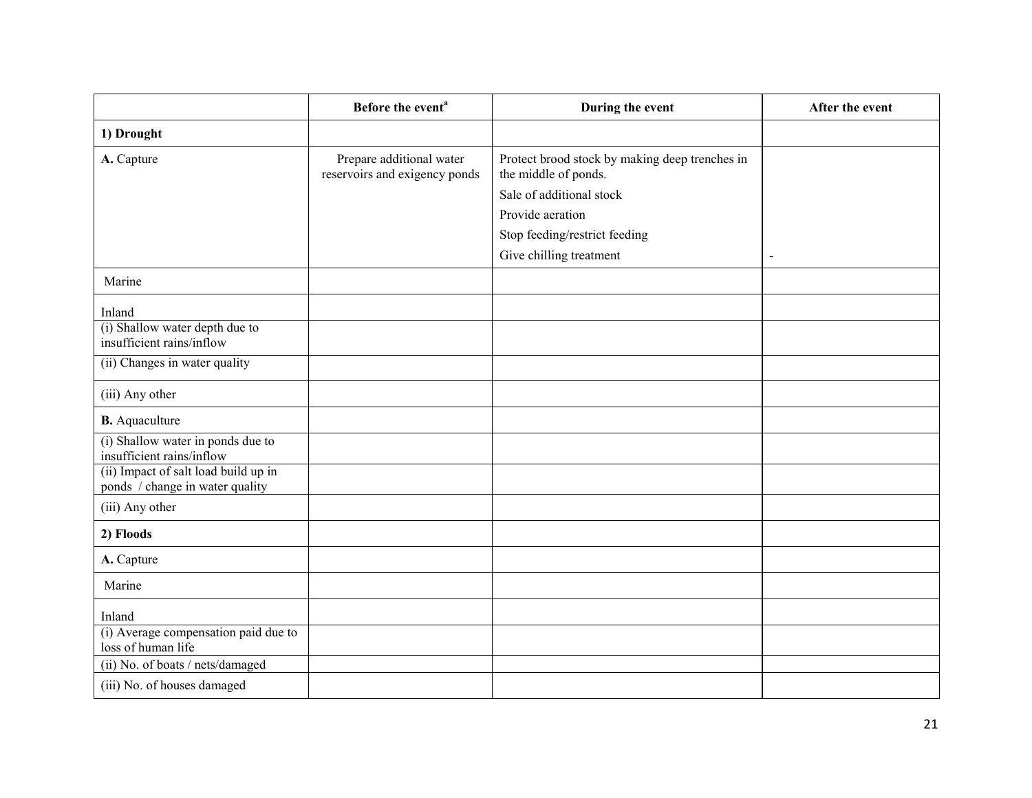|                                                                                                                                           | Before the event <sup>a</sup>                             | During the event                                                                                                                                                                   | After the event |
|-------------------------------------------------------------------------------------------------------------------------------------------|-----------------------------------------------------------|------------------------------------------------------------------------------------------------------------------------------------------------------------------------------------|-----------------|
| 1) Drought                                                                                                                                |                                                           |                                                                                                                                                                                    |                 |
| A. Capture                                                                                                                                | Prepare additional water<br>reservoirs and exigency ponds | Protect brood stock by making deep trenches in<br>the middle of ponds.<br>Sale of additional stock<br>Provide aeration<br>Stop feeding/restrict feeding<br>Give chilling treatment | $\blacksquare$  |
| Marine                                                                                                                                    |                                                           |                                                                                                                                                                                    |                 |
| Inland<br>(i) Shallow water depth due to<br>insufficient rains/inflow<br>(ii) Changes in water quality                                    |                                                           |                                                                                                                                                                                    |                 |
| (iii) Any other                                                                                                                           |                                                           |                                                                                                                                                                                    |                 |
| <b>B.</b> Aquaculture                                                                                                                     |                                                           |                                                                                                                                                                                    |                 |
| (i) Shallow water in ponds due to<br>insufficient rains/inflow<br>(ii) Impact of salt load build up in<br>ponds / change in water quality |                                                           |                                                                                                                                                                                    |                 |
| (iii) Any other                                                                                                                           |                                                           |                                                                                                                                                                                    |                 |
| 2) Floods                                                                                                                                 |                                                           |                                                                                                                                                                                    |                 |
| A. Capture                                                                                                                                |                                                           |                                                                                                                                                                                    |                 |
| Marine                                                                                                                                    |                                                           |                                                                                                                                                                                    |                 |
| Inland<br>(i) Average compensation paid due to<br>loss of human life<br>(ii) No. of boats / nets/damaged                                  |                                                           |                                                                                                                                                                                    |                 |
| (iii) No. of houses damaged                                                                                                               |                                                           |                                                                                                                                                                                    |                 |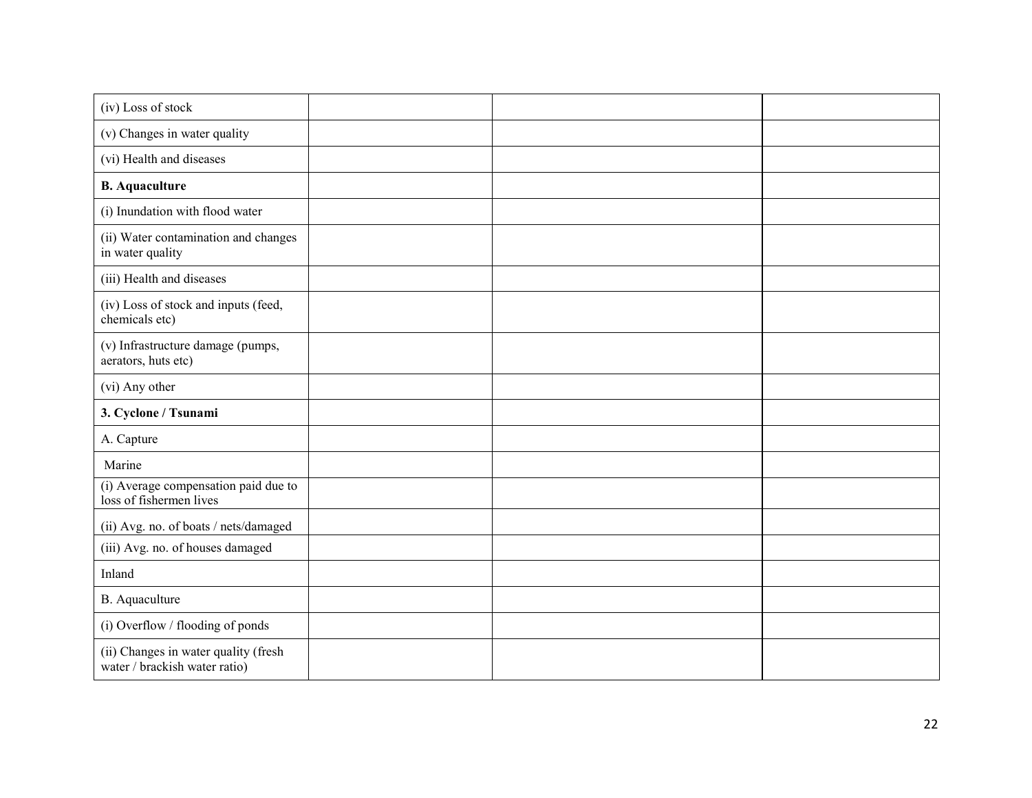| (iv) Loss of stock                                                    |  |  |
|-----------------------------------------------------------------------|--|--|
|                                                                       |  |  |
| (v) Changes in water quality                                          |  |  |
| (vi) Health and diseases                                              |  |  |
| <b>B.</b> Aquaculture                                                 |  |  |
| (i) Inundation with flood water                                       |  |  |
| (ii) Water contamination and changes<br>in water quality              |  |  |
| (iii) Health and diseases                                             |  |  |
| (iv) Loss of stock and inputs (feed,<br>chemicals etc)                |  |  |
| (v) Infrastructure damage (pumps,<br>aerators, huts etc)              |  |  |
| (vi) Any other                                                        |  |  |
| 3. Cyclone / Tsunami                                                  |  |  |
| A. Capture                                                            |  |  |
| Marine                                                                |  |  |
| (i) Average compensation paid due to<br>loss of fishermen lives       |  |  |
| (ii) Avg. no. of boats / nets/damaged                                 |  |  |
| (iii) Avg. no. of houses damaged                                      |  |  |
| Inland                                                                |  |  |
| B. Aquaculture                                                        |  |  |
| (i) Overflow / flooding of ponds                                      |  |  |
| (ii) Changes in water quality (fresh<br>water / brackish water ratio) |  |  |